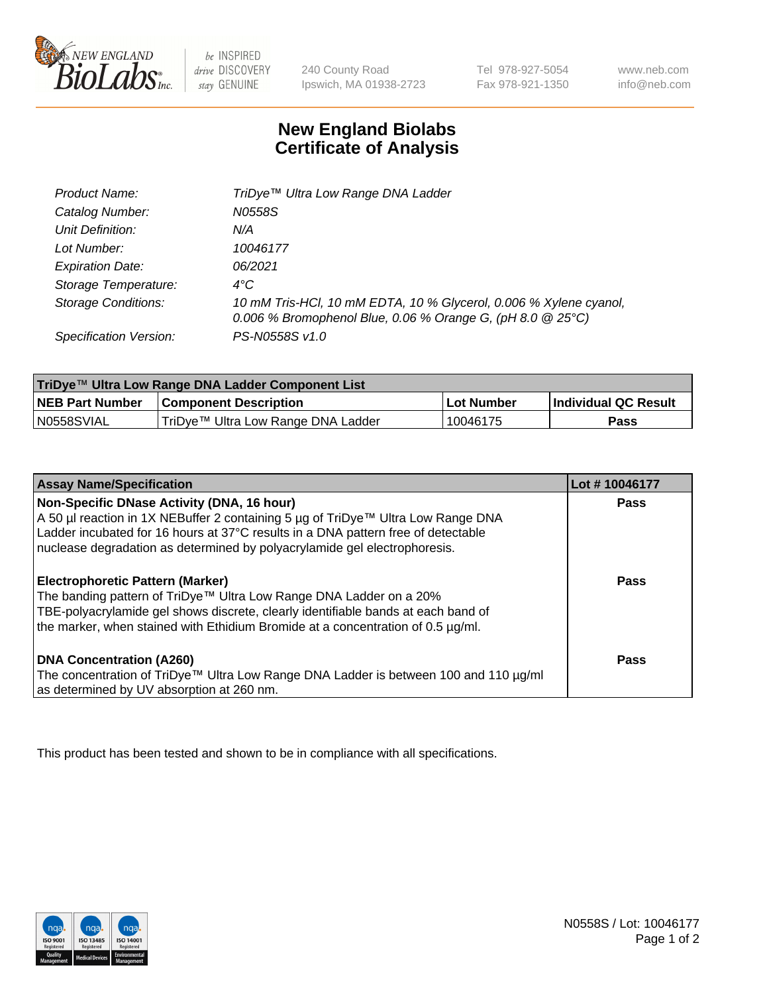

be INSPIRED drive DISCOVERY stay GENUINE

240 County Road Ipswich, MA 01938-2723

Tel 978-927-5054 Fax 978-921-1350

www.neb.com info@neb.com

## **New England Biolabs Certificate of Analysis**

| Product Name:              | TriDye™ Ultra Low Range DNA Ladder                                                                                                |
|----------------------------|-----------------------------------------------------------------------------------------------------------------------------------|
| Catalog Number:            | N0558S                                                                                                                            |
| Unit Definition:           | N/A                                                                                                                               |
| Lot Number:                | 10046177                                                                                                                          |
| <b>Expiration Date:</b>    | 06/2021                                                                                                                           |
| Storage Temperature:       | $4^{\circ}$ C                                                                                                                     |
| <b>Storage Conditions:</b> | 10 mM Tris-HCl, 10 mM EDTA, 10 % Glycerol, 0.006 % Xylene cyanol,<br>0.006 % Bromophenol Blue, 0.06 % Orange G, (pH 8.0 $@25°C$ ) |
| Specification Version:     | PS-N0558S v1.0                                                                                                                    |

| TriDye™ Ultra Low Range DNA Ladder Component List |                                    |             |                      |  |
|---------------------------------------------------|------------------------------------|-------------|----------------------|--|
| <b>NEB Part Number</b>                            | <b>Component Description</b>       | ⊥Lot Number | Individual QC Result |  |
| N0558SVIAL                                        | TriDye™ Ultra Low Range DNA Ladder | '10046175   | Pass                 |  |

| <b>Assay Name/Specification</b>                                                                                                                                                                                                                                                                  | Lot #10046177 |
|--------------------------------------------------------------------------------------------------------------------------------------------------------------------------------------------------------------------------------------------------------------------------------------------------|---------------|
| Non-Specific DNase Activity (DNA, 16 hour)<br>A 50 µl reaction in 1X NEBuffer 2 containing 5 µg of TriDye™ Ultra Low Range DNA<br>Ladder incubated for 16 hours at 37°C results in a DNA pattern free of detectable<br>nuclease degradation as determined by polyacrylamide gel electrophoresis. | <b>Pass</b>   |
| <b>Electrophoretic Pattern (Marker)</b><br>The banding pattern of TriDye™ Ultra Low Range DNA Ladder on a 20%<br>TBE-polyacrylamide gel shows discrete, clearly identifiable bands at each band of<br>the marker, when stained with Ethidium Bromide at a concentration of 0.5 µg/ml.            | Pass          |
| <b>DNA Concentration (A260)</b><br>The concentration of TriDye™ Ultra Low Range DNA Ladder is between 100 and 110 µg/ml<br>as determined by UV absorption at 260 nm.                                                                                                                             | Pass          |

This product has been tested and shown to be in compliance with all specifications.